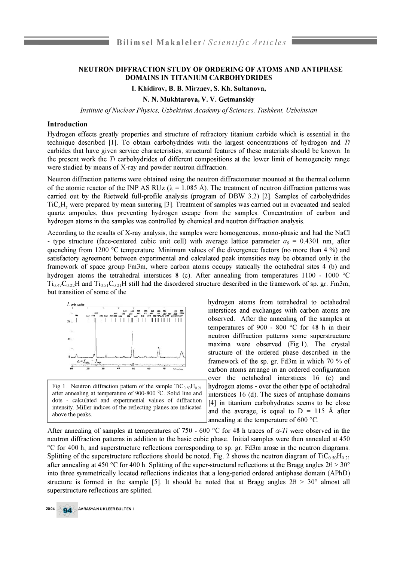## **NEUTRON DIFFRACTION STUDY OF ORDERING OF ATOMS AND ANTIPHASE DOMAINS IN TITANIUM CARBOHYDRIDES**

## **I. Khidirov, B. B. Mirzaev, S. Kh. Sultanova,**

**N. N. Mukhtarova, V. V. Getmanskiy**

*Institute of Nuclear Physics, Uzbekistan Academy of Sciences, Tashkent, Uzbekistan* 

## **Introduction**

Hydrogen effects greatly properties and structure of refractory titanium carbide which is essential in the technique described [1]. To obtain carbohydrides with the largest concentrations of hydrogen and *Ti* carbides that have given service characteristics, structural features of these materials should be known. In the present work the *Ti* carbohydrides of different compositions at the lower limit of homogeneity range were studied by means of X-ray and powder neutron diffraction.

Neutron diffraction patterns were obtained using the neutron diffractometer mounted at the thermal column of the atomic reactor of the INP AS RUz ( $\lambda = 1.085$  Å). The treatment of neutron diffraction patterns was carried out by the Rietweld full-profile analysis (program of DBW 3.2) [2]. Samples of carbohydrides TiCxHy were prepared by mean sintering [3]. Treatment of samples was carried out in evacuated and sealed quartz ampoules, thus preventing hydrogen escape from the samples. Concentration of carbon and hydrogen atoms in the samples was controlled by chemical and neutron diffraction analysis.

According to the results of X-ray analysis, the samples were homogeneous, mono-phasic and had the NaCl - type structure (face-centered cubic unit cell) with average lattice parameter  $a_0 = 0.4301$  nm, after quenching from 1200 °C temperature. Minimum values of the divergence factors (no more than 4 %) and satisfactory agreement between experimental and calculated peak intensities may be obtained only in the framework of space group Fm3m, where carbon atoms occupy statically the octahedral sites 4 (b) and hydrogen atoms the tetrahedral interstices 8 (c). After annealing from temperatures 1100 - 1000 °C  $Ti_{0.47}C_{0.22}H$  and  $Ti_{0.51}C_{0.21}H$  still had the disordered structure described in the framework of sp. gr. Fm3m, but transition of some of the



Fig 1. Neutron diffraction pattern of the sample  $\text{TiC}_0$   $\text{S}_0\text{H}_0$ . after annealing at temperature of  $900-800$  °C. Solid line and dots - calculated and experimental values of diffraction intensity. Miller indices of the reflecting planes are indicated above the peaks.

hydrogen atoms from tetrahedral to octahedral interstices and exchanges with carbon atoms are observed. After the annealing of the samples at temperatures of 900 - 800 °C for 48 h in their neutron diffraction patterns some superstructure maxima were observed (Fig.1). The crystal structure of the ordered phase described in the framework of the sp. gr. Fd3m in which 70 % of carbon atoms arrange in an ordered configuration over the octahedral interstices 16 (c) and hydrogen atoms - over the other type of octahedral interstices 16 (d). The sizes of antiphase domains [4] in titanium carbohydrates seems to be close and the average, is equal to  $D = 115$  Å after annealing at the temperature of 600 °C.

After annealing of samples at temperatures of 750 - 600 °C for 48 h traces of  $\alpha$ -Ti were observed in the neutron diffraction patterns in addition to the basic cubic phase. Initial samples were then annealed at 450 °C for 400 h, and superstructure reflections corresponding to sp. gr. Fd3m arose in the neutron diagrams. Splitting of the superstructure reflections should be noted. Fig. 2 shows the neutron diagram of  $TiC<sub>0.50</sub>H<sub>0.21</sub>$ after annealing at 450 °C for 400 h. Splitting of the super-structural reflections at the Bragg angles  $2\theta > 30^\circ$ into three symmetrically located reflections indicates that a long-period ordered antiphase domain (APhD) structure is formed in the sample [5]. It should be noted that at Bragg angles  $2\theta > 30^{\circ}$  almost all superstructure reflections are splitted.